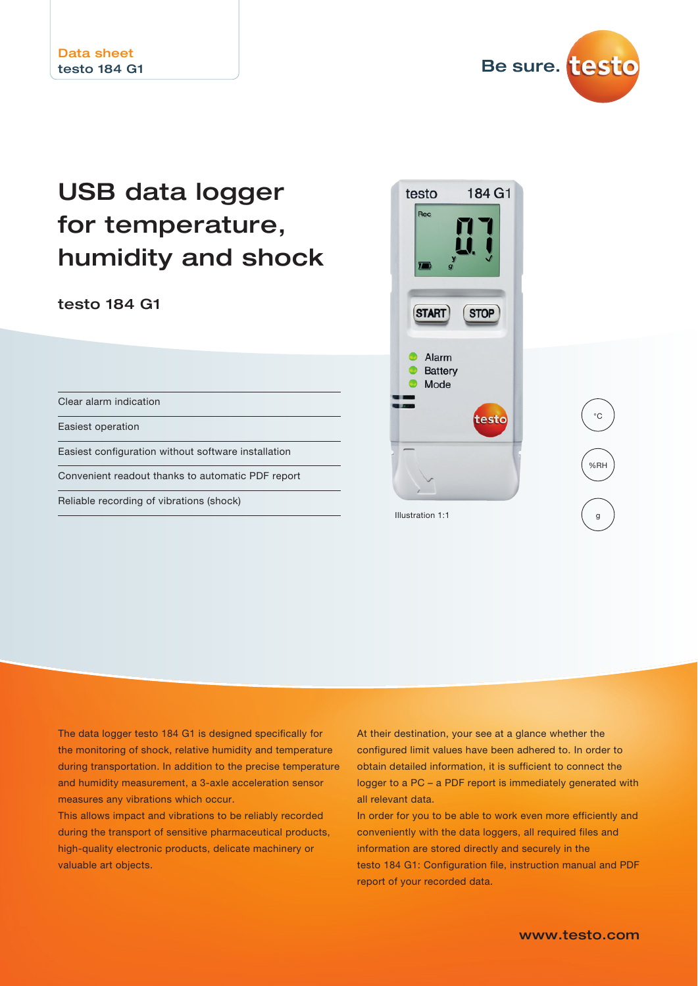

# USB data logger for temperature, humidity and shock

#### testo 184 G1

Clear alarm indication

Easiest operation

Easiest configuration without software installation

Convenient readout thanks to automatic PDF report

Reliable recording of vibrations (shock)



The data logger testo 184 G1 is designed specifically for the monitoring of shock, relative humidity and temperature during transportation. In addition to the precise temperature and humidity measurement, a 3-axle acceleration sensor measures any vibrations which occur.

This allows impact and vibrations to be reliably recorded during the transport of sensitive pharmaceutical products, high-quality electronic products, delicate machinery or valuable art objects.

At their destination, your see at a glance whether the configured limit values have been adhered to. In order to obtain detailed information, it is sufficient to connect the logger to a PC – a PDF report is immediately generated with all relevant data.

In order for you to be able to work even more efficiently and conveniently with the data loggers, all required files and information are stored directly and securely in the testo 184 G1: Configuration file, instruction manual and PDF report of your recorded data.